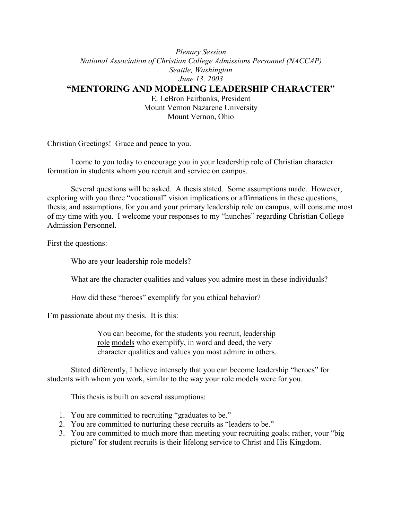### *Plenary Session National Association of Christian College Admissions Personnel (NACCAP) Seattle, Washington June 13, 2003* **"MENTORING AND MODELING LEADERSHIP CHARACTER"**

E. LeBron Fairbanks, President Mount Vernon Nazarene University Mount Vernon, Ohio

Christian Greetings! Grace and peace to you.

I come to you today to encourage you in your leadership role of Christian character formation in students whom you recruit and service on campus.

Several questions will be asked. A thesis stated. Some assumptions made. However, exploring with you three "vocational" vision implications or affirmations in these questions, thesis, and assumptions, for you and your primary leadership role on campus, will consume most of my time with you. I welcome your responses to my "hunches" regarding Christian College Admission Personnel.

First the questions:

Who are your leadership role models?

What are the character qualities and values you admire most in these individuals?

How did these "heroes" exemplify for you ethical behavior?

I'm passionate about my thesis. It is this:

You can become, for the students you recruit, leadership role models who exemplify, in word and deed, the very character qualities and values you most admire in others.

Stated differently, I believe intensely that you can become leadership "heroes" for students with whom you work, similar to the way your role models were for you.

This thesis is built on several assumptions:

- 1. You are committed to recruiting "graduates to be."
- 2. You are committed to nurturing these recruits as "leaders to be."
- 3. You are committed to much more than meeting your recruiting goals; rather, your "big picture" for student recruits is their lifelong service to Christ and His Kingdom.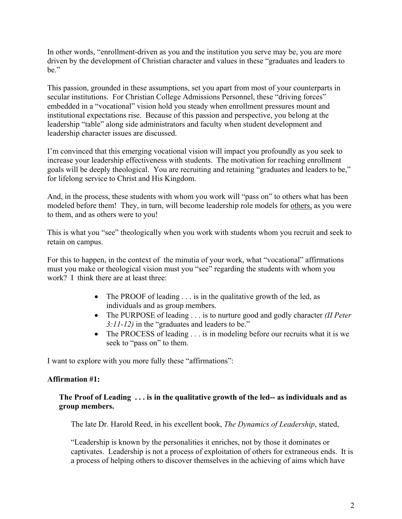In other words, "enrollment-driven as you and the institution you serve may be, you are more driven by the development of Christian character and values in these "graduates and leaders to be."

This passion, grounded in these assumptions, set you apart from most of your counterparts in secular institutions. For Christian College Admissions Personnel, these "driving forces" embedded in a "vocational" vision hold you steady when enrollment pressures mount and institutional expectations rise. Because of this passion and perspective, you belong at the leadership "table" along side administrators and faculty when student development and leadership character issues are discussed.

I'm convinced that this emerging vocational vision will impact you profoundly as you seek to increase your leadership effectiveness with students. The motivation for reaching enrollment goals will be deeply theological. You are recruiting and retaining "graduates and leaders to be," for lifelong service to Christ and His Kingdom.

And, in the process, these students with whom you work will "pass on" to others what has been modeled before them! They, in turn, will become leadership role models for others, as you were to them, and as others were to you!

This is what you "see" theologically when you work with students whom you recruit and seek to retain on campus.

For this to happen, in the context of the minutia of your work, what "vocational" affirmations must you make or theological vision must you "see" regarding the students with whom you work? I think there are at least three:

- The PROOF of leading . . . is in the qualitative growth of the led, as individuals and as group members.
- The PURPOSE of leading . . . is to nurture good and godly character *(II Peter 3:11-12)* in the "graduates and leaders to be."
- The PROCESS of leading . . . is in modeling before our recruits what it is we seek to "pass on" to them.

I want to explore with you more fully these "affirmations":

# **Affirmation #1:**

# **The Proof of Leading . . . is in the qualitative growth of the led-- as individuals and as group members.**

The late Dr. Harold Reed, in his excellent book, *The Dynamics of Leadership*, stated,

"Leadership is known by the personalities it enriches, not by those it dominates or captivates. Leadership is not a process of exploitation of others for extraneous ends. It is a process of helping others to discover themselves in the achieving of aims which have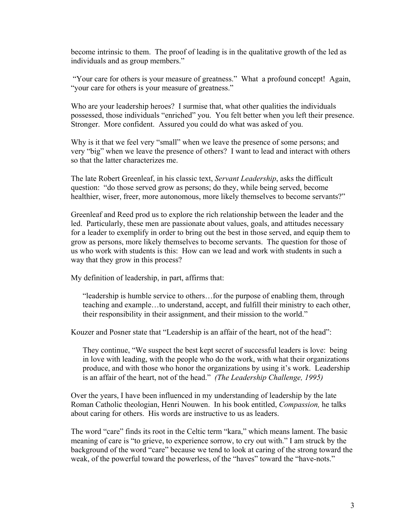become intrinsic to them. The proof of leading is in the qualitative growth of the led as individuals and as group members."

 "Your care for others is your measure of greatness." What a profound concept! Again, "your care for others is your measure of greatness."

Who are your leadership heroes? I surmise that, what other qualities the individuals possessed, those individuals "enriched" you. You felt better when you left their presence. Stronger. More confident. Assured you could do what was asked of you.

Why is it that we feel very "small" when we leave the presence of some persons; and very "big" when we leave the presence of others? I want to lead and interact with others so that the latter characterizes me.

The late Robert Greenleaf, in his classic text, *Servant Leadership*, asks the difficult question: "do those served grow as persons; do they, while being served, become healthier, wiser, freer, more autonomous, more likely themselves to become servants?"

Greenleaf and Reed prod us to explore the rich relationship between the leader and the led. Particularly, these men are passionate about values, goals, and attitudes necessary for a leader to exemplify in order to bring out the best in those served, and equip them to grow as persons, more likely themselves to become servants. The question for those of us who work with students is this: How can we lead and work with students in such a way that they grow in this process?

My definition of leadership, in part, affirms that:

"leadership is humble service to others…for the purpose of enabling them, through teaching and example…to understand, accept, and fulfill their ministry to each other, their responsibility in their assignment, and their mission to the world."

Kouzer and Posner state that "Leadership is an affair of the heart, not of the head":

They continue, "We suspect the best kept secret of successful leaders is love: being in love with leading, with the people who do the work, with what their organizations produce, and with those who honor the organizations by using it's work. Leadership is an affair of the heart, not of the head." *(The Leadership Challenge, 1995)*

Over the years, I have been influenced in my understanding of leadership by the late Roman Catholic theologian, Henri Nouwen. In his book entitled, *Compassion,* he talks about caring for others. His words are instructive to us as leaders.

The word "care" finds its root in the Celtic term "kara," which means lament. The basic meaning of care is "to grieve, to experience sorrow, to cry out with." I am struck by the background of the word "care" because we tend to look at caring of the strong toward the weak, of the powerful toward the powerless, of the "haves" toward the "have-nots."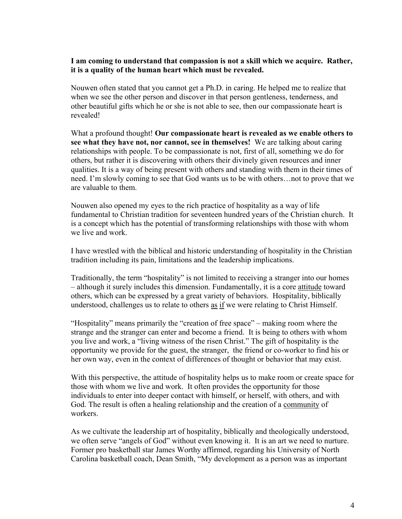### **I am coming to understand that compassion is not a skill which we acquire. Rather, it is a quality of the human heart which must be revealed.**

Nouwen often stated that you cannot get a Ph.D. in caring. He helped me to realize that when we see the other person and discover in that person gentleness, tenderness, and other beautiful gifts which he or she is not able to see, then our compassionate heart is revealed!

What a profound thought! **Our compassionate heart is revealed as we enable others to see what they have not, nor cannot, see in themselves!** We are talking about caring relationships with people. To be compassionate is not, first of all, something we do for others, but rather it is discovering with others their divinely given resources and inner qualities. It is a way of being present with others and standing with them in their times of need. I'm slowly coming to see that God wants us to be with others…not to prove that we are valuable to them.

Nouwen also opened my eyes to the rich practice of hospitality as a way of life fundamental to Christian tradition for seventeen hundred years of the Christian church. It is a concept which has the potential of transforming relationships with those with whom we live and work.

I have wrestled with the biblical and historic understanding of hospitality in the Christian tradition including its pain, limitations and the leadership implications.

Traditionally, the term "hospitality" is not limited to receiving a stranger into our homes – although it surely includes this dimension. Fundamentally, it is a core attitude toward others, which can be expressed by a great variety of behaviors. Hospitality, biblically understood, challenges us to relate to others as if we were relating to Christ Himself.

"Hospitality" means primarily the "creation of free space" – making room where the strange and the stranger can enter and become a friend. It is being to others with whom you live and work, a "living witness of the risen Christ." The gift of hospitality is the opportunity we provide for the guest, the stranger, the friend or co-worker to find his or her own way, even in the context of differences of thought or behavior that may exist.

With this perspective, the attitude of hospitality helps us to make room or create space for those with whom we live and work. It often provides the opportunity for those individuals to enter into deeper contact with himself, or herself, with others, and with God. The result is often a healing relationship and the creation of a community of workers.

As we cultivate the leadership art of hospitality, biblically and theologically understood, we often serve "angels of God" without even knowing it. It is an art we need to nurture. Former pro basketball star James Worthy affirmed, regarding his University of North Carolina basketball coach, Dean Smith, "My development as a person was as important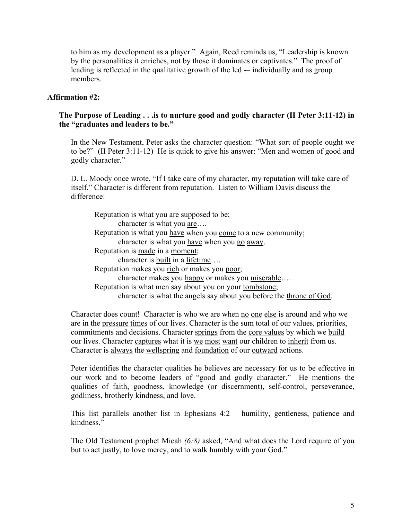to him as my development as a player." Again, Reed reminds us, "Leadership is known by the personalities it enriches, not by those it dominates or captivates." The proof of leading is reflected in the qualitative growth of the led — individually and as group members.

### **Affirmation #2:**

### **The Purpose of Leading . . .is to nurture good and godly character (II Peter 3:11-12) in the "graduates and leaders to be."**

In the New Testament, Peter asks the character question: "What sort of people ought we to be?" (II Peter 3:11-12) He is quick to give his answer: "Men and women of good and godly character."

D. L. Moody once wrote, "If I take care of my character, my reputation will take care of itself." Character is different from reputation. Listen to William Davis discuss the difference:

| Reputation is what you are supposed to be;                           |  |  |  |  |
|----------------------------------------------------------------------|--|--|--|--|
| character is what you are                                            |  |  |  |  |
| Reputation is what you have when you come to a new community;        |  |  |  |  |
| character is what you have when you go away.                         |  |  |  |  |
| Reputation is made in a moment;                                      |  |  |  |  |
| character is built in a lifetime                                     |  |  |  |  |
| Reputation makes you rich or makes you poor;                         |  |  |  |  |
| character makes you happy or makes you miserable                     |  |  |  |  |
| Reputation is what men say about you on your tombstone;              |  |  |  |  |
| character is what the angels say about you before the throne of God. |  |  |  |  |

Character does count! Character is who we are when no one else is around and who we are in the pressure times of our lives. Character is the sum total of our values, priorities, commitments and decisions. Character springs from the core values by which we build our lives. Character captures what it is we most want our children to inherit from us. Character is always the wellspring and foundation of our outward actions.

Peter identifies the character qualities he believes are necessary for us to be effective in our work and to become leaders of "good and godly character." He mentions the qualities of faith, goodness, knowledge (or discernment), self-control, perseverance, godliness, brotherly kindness, and love.

This list parallels another list in Ephesians 4:2 – humility, gentleness, patience and kindness."

The Old Testament prophet Micah *(6:8)* asked, "And what does the Lord require of you but to act justly, to love mercy, and to walk humbly with your God."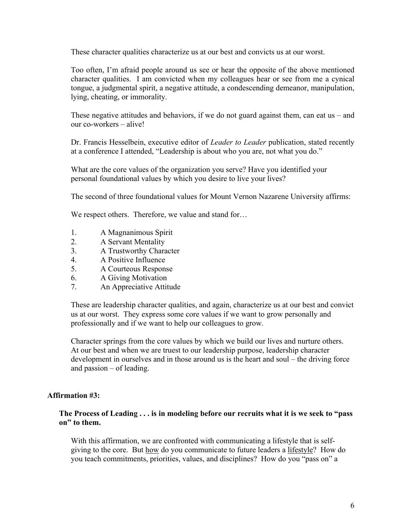These character qualities characterize us at our best and convicts us at our worst.

Too often, I'm afraid people around us see or hear the opposite of the above mentioned character qualities. I am convicted when my colleagues hear or see from me a cynical tongue, a judgmental spirit, a negative attitude, a condescending demeanor, manipulation, lying, cheating, or immorality.

These negative attitudes and behaviors, if we do not guard against them, can eat us  $-$  and our co-workers – alive!

Dr. Francis Hesselbein, executive editor of *Leader to Leader* publication, stated recently at a conference I attended, "Leadership is about who you are, not what you do."

What are the core values of the organization you serve? Have you identified your personal foundational values by which you desire to live your lives?

The second of three foundational values for Mount Vernon Nazarene University affirms:

We respect others. Therefore, we value and stand for...

- 1. A Magnanimous Spirit
- 2. A Servant Mentality
- 3. A Trustworthy Character
- 4. A Positive Influence
- 5. A Courteous Response
- 6. A Giving Motivation
- 7. An Appreciative Attitude

These are leadership character qualities, and again, characterize us at our best and convict us at our worst. They express some core values if we want to grow personally and professionally and if we want to help our colleagues to grow.

Character springs from the core values by which we build our lives and nurture others. At our best and when we are truest to our leadership purpose, leadership character development in ourselves and in those around us is the heart and soul – the driving force and passion – of leading.

# **Affirmation #3:**

#### **The Process of Leading . . . is in modeling before our recruits what it is we seek to "pass on" to them.**

With this affirmation, we are confronted with communicating a lifestyle that is selfgiving to the core. But how do you communicate to future leaders a lifestyle? How do you teach commitments, priorities, values, and disciplines? How do you "pass on" a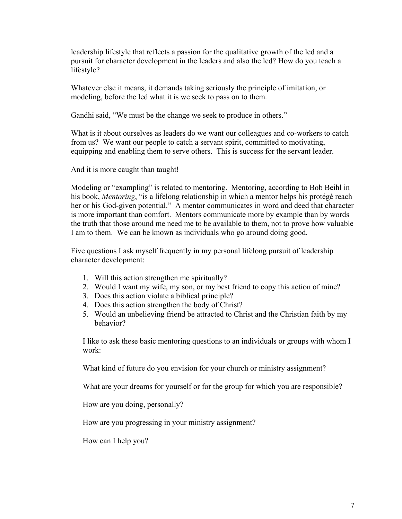leadership lifestyle that reflects a passion for the qualitative growth of the led and a pursuit for character development in the leaders and also the led? How do you teach a lifestyle?

Whatever else it means, it demands taking seriously the principle of imitation, or modeling, before the led what it is we seek to pass on to them.

Gandhi said, "We must be the change we seek to produce in others."

What is it about ourselves as leaders do we want our colleagues and co-workers to catch from us? We want our people to catch a servant spirit, committed to motivating, equipping and enabling them to serve others. This is success for the servant leader.

And it is more caught than taught!

Modeling or "exampling" is related to mentoring. Mentoring, according to Bob Beihl in his book, *Mentoring*, "is a lifelong relationship in which a mentor helps his protégé reach her or his God-given potential." A mentor communicates in word and deed that character is more important than comfort. Mentors communicate more by example than by words the truth that those around me need me to be available to them, not to prove how valuable I am to them. We can be known as individuals who go around doing good.

Five questions I ask myself frequently in my personal lifelong pursuit of leadership character development:

- 1. Will this action strengthen me spiritually?
- 2. Would I want my wife, my son, or my best friend to copy this action of mine?
- 3. Does this action violate a biblical principle?
- 4. Does this action strengthen the body of Christ?
- 5. Would an unbelieving friend be attracted to Christ and the Christian faith by my behavior?

I like to ask these basic mentoring questions to an individuals or groups with whom I work:

What kind of future do you envision for your church or ministry assignment?

What are your dreams for yourself or for the group for which you are responsible?

How are you doing, personally?

How are you progressing in your ministry assignment?

How can I help you?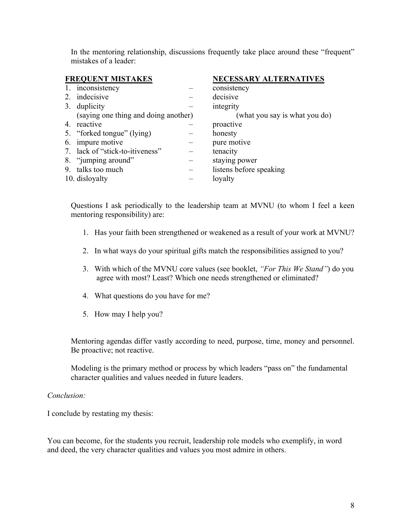In the mentoring relationship, discussions frequently take place around these "frequent" mistakes of a leader:

| <b>FREQUENT MISTAKES</b>             | <b>NECESSARY ALTERNATIVES</b> |
|--------------------------------------|-------------------------------|
| 1. inconsistency                     | consistency                   |
| 2. indecisive                        | decisive                      |
| 3. duplicity                         | integrity                     |
| (saying one thing and doing another) | (what you say is what you do) |
| 4. reactive                          | proactive                     |
| 5. "forked tongue" (lying)           | honesty                       |
| 6. impure motive                     | pure motive                   |
| 7. lack of "stick-to-itiveness"      | tenacity                      |
| 8. "jumping around"                  | staying power                 |
| 9. talks too much                    | listens before speaking       |
| 10. disloyalty                       | loyalty                       |

Questions I ask periodically to the leadership team at MVNU (to whom I feel a keen mentoring responsibility) are:

- 1. Has your faith been strengthened or weakened as a result of your work at MVNU?
- 2. In what ways do your spiritual gifts match the responsibilities assigned to you?
- 3. With which of the MVNU core values (see booklet, *"For This We Stand"*) do you agree with most? Least? Which one needs strengthened or eliminated?
- 4. What questions do you have for me?
- 5. How may I help you?

Mentoring agendas differ vastly according to need, purpose, time, money and personnel. Be proactive; not reactive.

Modeling is the primary method or process by which leaders "pass on" the fundamental character qualities and values needed in future leaders.

# *Conclusion:*

I conclude by restating my thesis:

You can become, for the students you recruit, leadership role models who exemplify, in word and deed, the very character qualities and values you most admire in others.